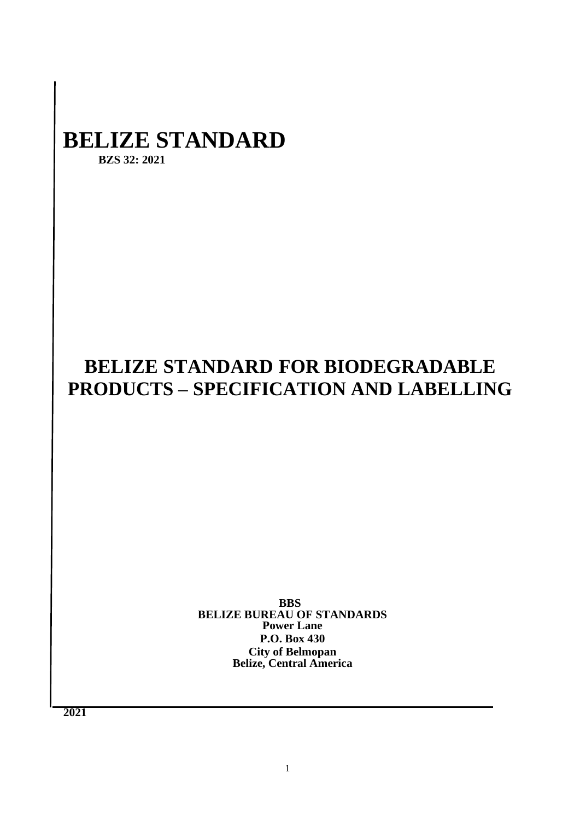# **BELIZE STANDARD**

**BZS 32: 2021**

# **BELIZE STANDARD FOR BIODEGRADABLE PRODUCTS – SPECIFICATION AND LABELLING**

**BBS BELIZE BUREAU OF STANDARDS Power Lane P.O. Box 430 City of Belmopan Belize, Central America**

**2021**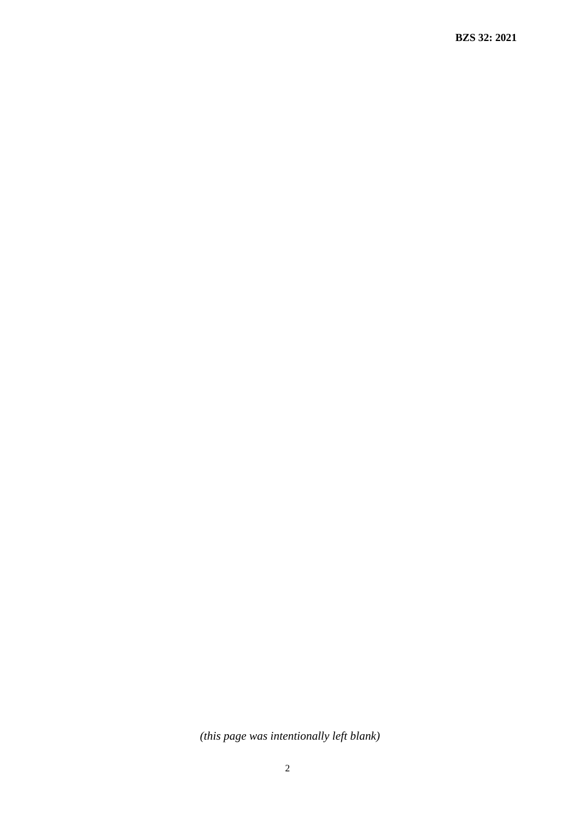*(this page was intentionally left blank)*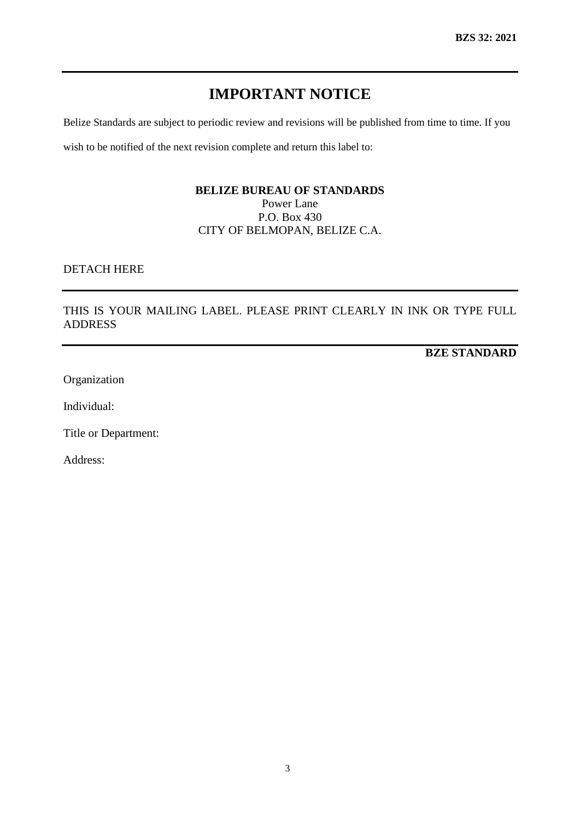## **IMPORTANT NOTICE**

Belize Standards are subject to periodic review and revisions will be published from time to time. If you

wish to be notified of the next revision complete and return this label to:

#### **BELIZE BUREAU OF STANDARDS**

Power Lane P.O. Box 430 CITY OF BELMOPAN, BELIZE C.A.

DETACH HERE

#### THIS IS YOUR MAILING LABEL. PLEASE PRINT CLEARLY IN INK OR TYPE FULL ADDRESS

**BZE STANDARD**

Organization

Individual:

Title or Department:

Address: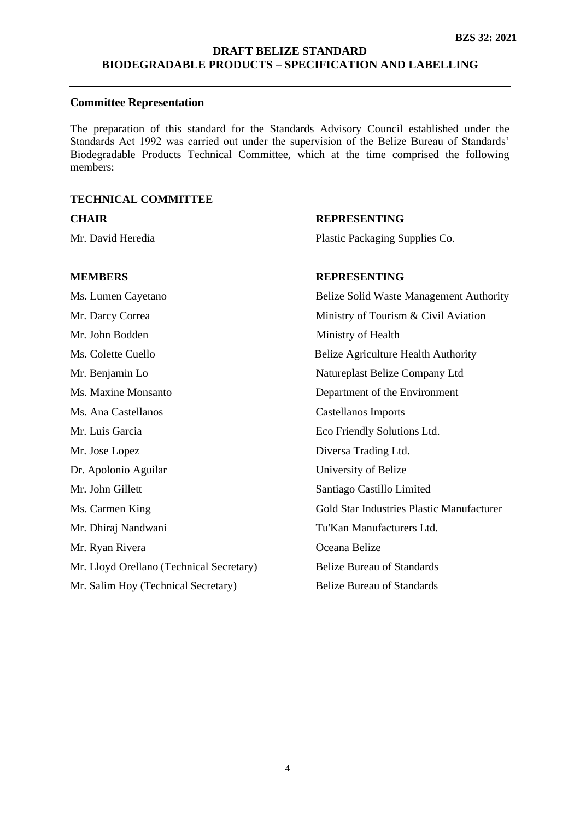#### **DRAFT BELIZE STANDARD BIODEGRADABLE PRODUCTS – SPECIFICATION AND LABELLING**

#### **Committee Representation**

The preparation of this standard for the Standards Advisory Council established under the Standards Act 1992 was carried out under the supervision of the Belize Bureau of Standards' Biodegradable Products Technical Committee, which at the time comprised the following members:

#### **TECHNICAL COMMITTEE**

#### **CHAIR REPRESENTING**

Mr. David Heredia Plastic Packaging Supplies Co.

Ms. Lumen Cayetano Belize Solid Waste Management Authority Mr. Darcy Correa Ministry of Tourism & Civil Aviation Mr. John Bodden Ministry of Health Ms. Colette Cuello Belize Agriculture Health Authority Mr. Benjamin Lo<br>Natureplast Belize Company Ltd Ms. Maxine Monsanto Department of the Environment Ms. Ana Castellanos Castellanos Imports Mr. Luis Garcia Eco Friendly Solutions Ltd. Mr. Jose Lopez Diversa Trading Ltd. Dr. Apolonio Aguilar University of Belize Mr. John Gillett Santiago Castillo Limited Mr. Dhiraj Nandwani Tu'Kan Manufacturers Ltd. Mr. Ryan Rivera **Oceana Belize** Mr. Lloyd Orellano (Technical Secretary) Belize Bureau of Standards Mr. Salim Hoy (Technical Secretary) Belize Bureau of Standards

#### **MEMBERS REPRESENTING**

Ms. Carmen King Gold Star Industries Plastic Manufacturer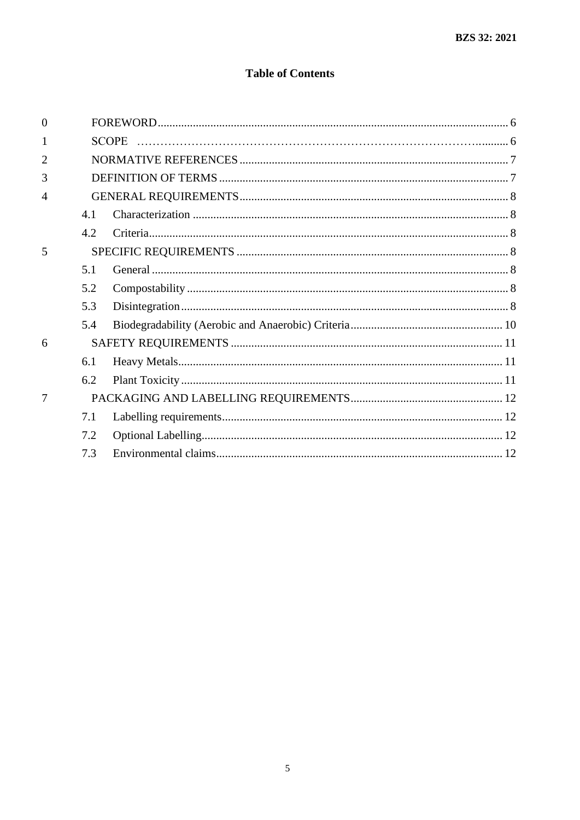## **Table of Contents**

| 0              |     |              |  |  |
|----------------|-----|--------------|--|--|
| 1              |     | <b>SCOPE</b> |  |  |
| $\overline{2}$ |     |              |  |  |
| 3              |     |              |  |  |
| $\overline{4}$ |     |              |  |  |
|                | 4.1 |              |  |  |
|                | 4.2 |              |  |  |
| 5              |     |              |  |  |
|                | 5.1 |              |  |  |
|                | 5.2 |              |  |  |
|                | 5.3 |              |  |  |
|                | 5.4 |              |  |  |
| 6              |     |              |  |  |
|                | 6.1 |              |  |  |
|                | 6.2 |              |  |  |
| 7              |     |              |  |  |
|                | 7.1 |              |  |  |
|                | 7.2 |              |  |  |
|                | 7.3 |              |  |  |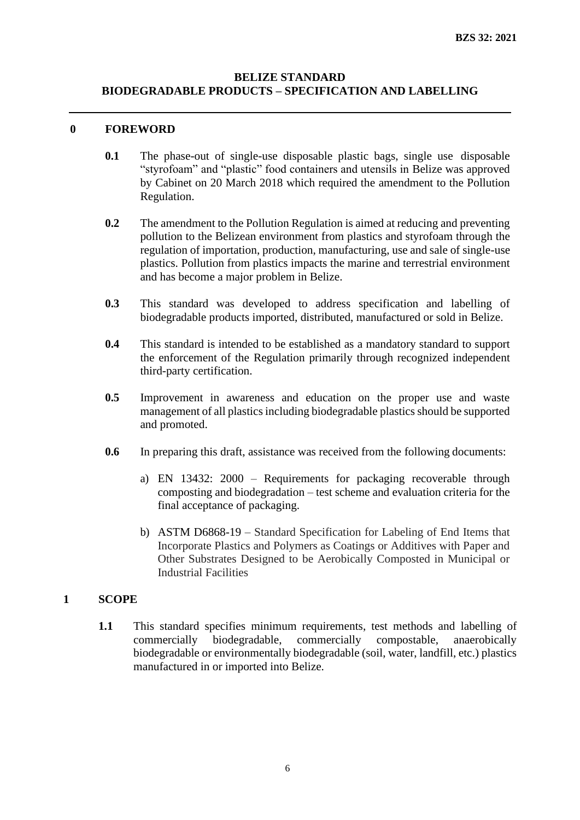#### **BELIZE STANDARD BIODEGRADABLE PRODUCTS – SPECIFICATION AND LABELLING**

#### <span id="page-5-0"></span>**0 FOREWORD**

- **0.1** The phase-out of single-use disposable plastic bags, single use disposable "styrofoam" and "plastic" food containers and utensils in Belize was approved by Cabinet on 20 March 2018 which required the amendment to the Pollution Regulation.
- **0.2** The amendment to the Pollution Regulation is aimed at reducing and preventing pollution to the Belizean environment from plastics and styrofoam through the regulation of importation, production, manufacturing, use and sale of single-use plastics. Pollution from plastics impacts the marine and terrestrial environment and has become a major problem in Belize.
- **0.3** This standard was developed to address specification and labelling of biodegradable products imported, distributed, manufactured or sold in Belize.
- **0.4** This standard is intended to be established as a mandatory standard to support the enforcement of the Regulation primarily through recognized independent third-party certification.
- **0.5** Improvement in awareness and education on the proper use and waste management of all plastics including biodegradable plastics should be supported and promoted.
- **0.6** In preparing this draft, assistance was received from the following documents:
	- a) EN 13432: 2000 Requirements for packaging recoverable through composting and biodegradation – test scheme and evaluation criteria for the final acceptance of packaging.
	- b) ASTM D6868-19 Standard Specification for Labeling of End Items that Incorporate Plastics and Polymers as Coatings or Additives with Paper and Other Substrates Designed to be Aerobically Composted in Municipal or Industrial Facilities

### <span id="page-5-1"></span>**1 SCOPE**

**1.1** This standard specifies minimum requirements, test methods and labelling of commercially biodegradable, commercially compostable, anaerobically biodegradable or environmentally biodegradable (soil, water, landfill, etc.) plastics manufactured in or imported into Belize.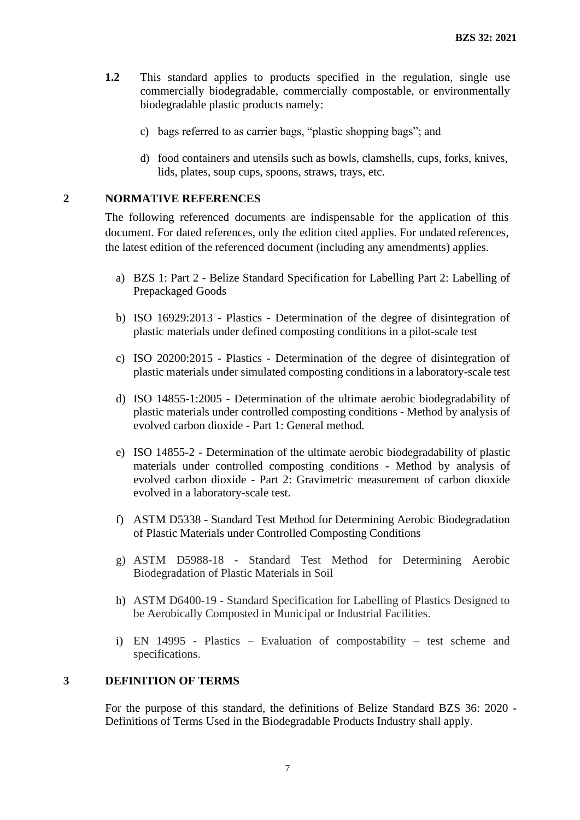- **1.2** This standard applies to products specified in the regulation, single use commercially biodegradable, commercially compostable, or environmentally biodegradable plastic products namely:
	- c) bags referred to as carrier bags, "plastic shopping bags"; and
	- d) food containers and utensils such as bowls, clamshells, cups, forks, knives, lids, plates, soup cups, spoons, straws, trays, etc.

#### <span id="page-6-0"></span>**2 NORMATIVE REFERENCES**

The following referenced documents are indispensable for the application of this document. For dated references, only the edition cited applies. For undated references, the latest edition of the referenced document (including any amendments) applies.

- a) BZS 1: Part 2 Belize Standard Specification for Labelling Part 2: Labelling of Prepackaged Goods
- b) ISO 16929:2013 Plastics Determination of the degree of disintegration of plastic materials under defined composting conditions in a pilot-scale test
- c) ISO 20200:2015 Plastics Determination of the degree of disintegration of plastic materials under simulated composting conditions in a laboratory-scale test
- d) ISO 14855-1:2005 Determination of the ultimate aerobic biodegradability of plastic materials under controlled composting conditions - Method by analysis of evolved carbon dioxide - Part 1: General method.
- e) ISO 14855-2 Determination of the ultimate aerobic biodegradability of plastic materials under controlled composting conditions - Method by analysis of evolved carbon dioxide - Part 2: Gravimetric measurement of carbon dioxide evolved in a laboratory-scale test.
- f) ASTM D5338 Standard Test Method for Determining Aerobic Biodegradation of Plastic Materials under Controlled Composting Conditions
- g) ASTM D5988-18 Standard Test Method for Determining Aerobic Biodegradation of Plastic Materials in Soil
- h) ASTM D6400-19 Standard Specification for Labelling of Plastics Designed to be Aerobically Composted in Municipal or Industrial Facilities.
- i) EN 14995 Plastics Evaluation of compostability test scheme and specifications.

#### <span id="page-6-1"></span>**3 DEFINITION OF TERMS**

For the purpose of this standard, the definitions of Belize Standard BZS 36: 2020 - Definitions of Terms Used in the Biodegradable Products Industry shall apply.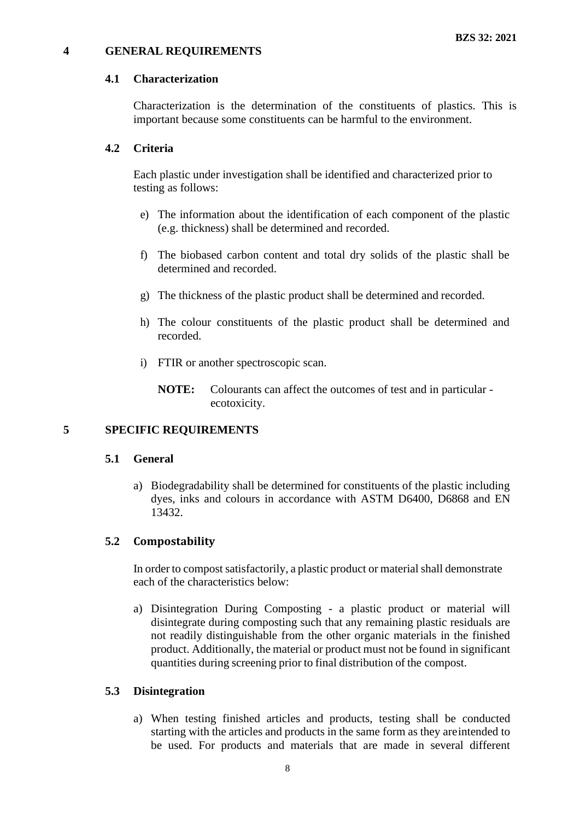#### <span id="page-7-1"></span><span id="page-7-0"></span>**4.1 Characterization**

Characterization is the determination of the constituents of plastics. This is important because some constituents can be harmful to the environment.

#### <span id="page-7-2"></span>**4.2 Criteria**

Each plastic under investigation shall be identified and characterized prior to testing as follows:

- e) The information about the identification of each component of the plastic (e.g. thickness) shall be determined and recorded.
- f) The biobased carbon content and total dry solids of the plastic shall be determined and recorded.
- g) The thickness of the plastic product shall be determined and recorded.
- h) The colour constituents of the plastic product shall be determined and recorded.
- i) FTIR or another spectroscopic scan.
	- **NOTE:** Colourants can affect the outcomes of test and in particular ecotoxicity.

#### <span id="page-7-4"></span><span id="page-7-3"></span>**5 SPECIFIC REQUIREMENTS**

#### **5.1 General**

a) Biodegradability shall be determined for constituents of the plastic including dyes, inks and colours in accordance with ASTM D6400, D6868 and EN 13432.

#### <span id="page-7-5"></span>**5.2 Compostability**

In order to compost satisfactorily, a plastic product or material shall demonstrate each of the characteristics below:

a) Disintegration During Composting - a plastic product or material will disintegrate during composting such that any remaining plastic residuals are not readily distinguishable from the other organic materials in the finished product. Additionally, the material or product must not be found in significant quantities during screening prior to final distribution of the compost.

#### <span id="page-7-6"></span>**5.3 Disintegration**

a) When testing finished articles and products, testing shall be conducted starting with the articles and products in the same form as they areintended to be used. For products and materials that are made in several different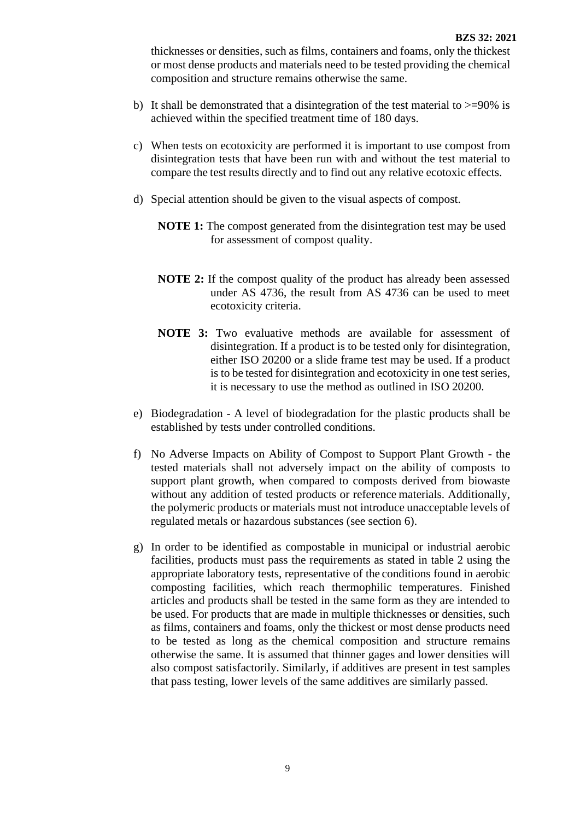thicknesses or densities, such as films, containers and foams, only the thickest or most dense products and materials need to be tested providing the chemical composition and structure remains otherwise the same.

- b) It shall be demonstrated that a disintegration of the test material to  $>=$  90% is achieved within the specified treatment time of 180 days.
- c) When tests on ecotoxicity are performed it is important to use compost from disintegration tests that have been run with and without the test material to compare the test results directly and to find out any relative ecotoxic effects.
- d) Special attention should be given to the visual aspects of compost.
	- **NOTE 1:** The compost generated from the disintegration test may be used for assessment of compost quality.
	- **NOTE 2:** If the compost quality of the product has already been assessed under AS 4736, the result from AS 4736 can be used to meet ecotoxicity criteria.
	- **NOTE 3:** Two evaluative methods are available for assessment of disintegration. If a product is to be tested only for disintegration, either ISO 20200 or a slide frame test may be used. If a product is to be tested for disintegration and ecotoxicity in one test series, it is necessary to use the method as outlined in ISO 20200.
- e) Biodegradation A level of biodegradation for the plastic products shall be established by tests under controlled conditions.
- f) No Adverse Impacts on Ability of Compost to Support Plant Growth the tested materials shall not adversely impact on the ability of composts to support plant growth, when compared to composts derived from biowaste without any addition of tested products or reference materials. Additionally, the polymeric products or materials must not introduce unacceptable levels of regulated metals or hazardous substances (see section 6).
- g) In order to be identified as compostable in municipal or industrial aerobic facilities, products must pass the requirements as stated in table 2 using the appropriate laboratory tests, representative of the conditions found in aerobic composting facilities, which reach thermophilic temperatures. Finished articles and products shall be tested in the same form as they are intended to be used. For products that are made in multiple thicknesses or densities, such as films, containers and foams, only the thickest or most dense products need to be tested as long as the chemical composition and structure remains otherwise the same. It is assumed that thinner gages and lower densities will also compost satisfactorily. Similarly, if additives are present in test samples that pass testing, lower levels of the same additives are similarly passed.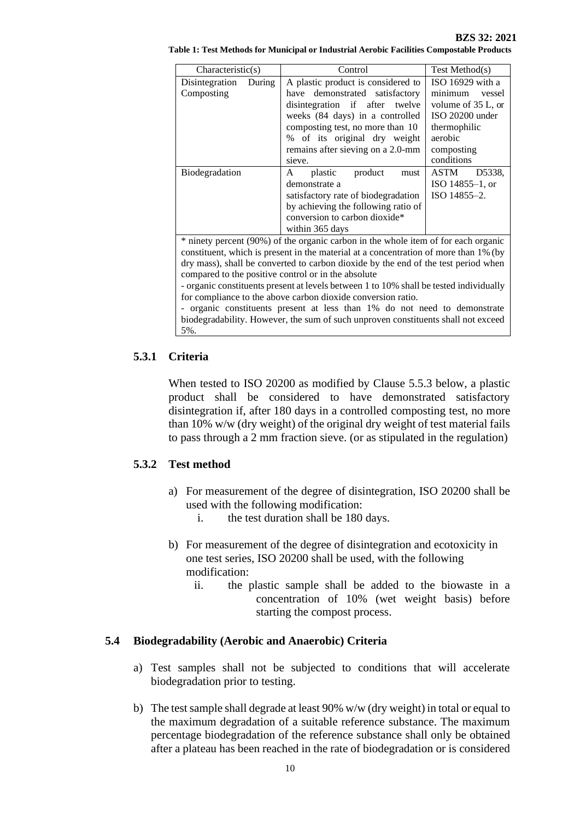#### **Table 1: Test Methods for Municipal or Industrial Aerobic Facilities Compostable Products**

| Characteristic(s)        | Control                             | Test Method(s)              |
|--------------------------|-------------------------------------|-----------------------------|
| Disintegration<br>During | A plastic product is considered to  | ISO $16929$ with a          |
| Composting               | have demonstrated satisfactory      | minimum<br>vessel           |
|                          | disintegration if after<br>twelve   | volume of $35 L$ , or       |
|                          | weeks (84 days) in a controlled     | ISO 20200 under             |
|                          | composting test, no more than 10    | thermophilic                |
|                          | % of its original dry weight        | aerobic                     |
|                          | remains after sieving on a 2.0-mm   | composting                  |
|                          | sieve.                              | conditions                  |
| <b>Biodegradation</b>    | product<br>plastic<br>A<br>must     | D <sub>5</sub> 338.<br>ASTM |
|                          | demonstrate a                       | ISO 14855-1, or             |
|                          | satisfactory rate of biodegradation | ISO 14855-2.                |
|                          | by achieving the following ratio of |                             |
|                          | conversion to carbon dioxide*       |                             |
|                          | within 365 days                     |                             |
|                          |                                     |                             |

\* ninety percent (90%) of the organic carbon in the whole item of for each organic constituent, which is present in the material at a concentration of more than 1% (by dry mass), shall be converted to carbon dioxide by the end of the test period when compared to the positive control or in the absolute

- organic constituents present at levels between 1 to 10% shall be tested individually for compliance to the above carbon dioxide conversion ratio.

- organic constituents present at less than 1% do not need to demonstrate biodegradability. However, the sum of such unproven constituents shall not exceed 5%.

### **5.3.1 Criteria**

When tested to ISO 20200 as modified by Clause 5.5.3 below, a plastic product shall be considered to have demonstrated satisfactory disintegration if, after 180 days in a controlled composting test, no more than 10% w/w (dry weight) of the original dry weight of test material fails to pass through a 2 mm fraction sieve. (or as stipulated in the regulation)

#### **5.3.2 Test method**

- a) For measurement of the degree of disintegration, ISO 20200 shall be used with the following modification:
	- i. the test duration shall be 180 days.
- b) For measurement of the degree of disintegration and ecotoxicity in one test series, ISO 20200 shall be used, with the following modification:
	- ii. the plastic sample shall be added to the biowaste in a concentration of 10% (wet weight basis) before starting the compost process.

#### <span id="page-9-0"></span>**5.4 Biodegradability (Aerobic and Anaerobic) Criteria**

- a) Test samples shall not be subjected to conditions that will accelerate biodegradation prior to testing.
- b) The test sample shall degrade at least  $90\%$  w/w (dry weight) in total or equal to the maximum degradation of a suitable reference substance. The maximum percentage biodegradation of the reference substance shall only be obtained after a plateau has been reached in the rate of biodegradation or is considered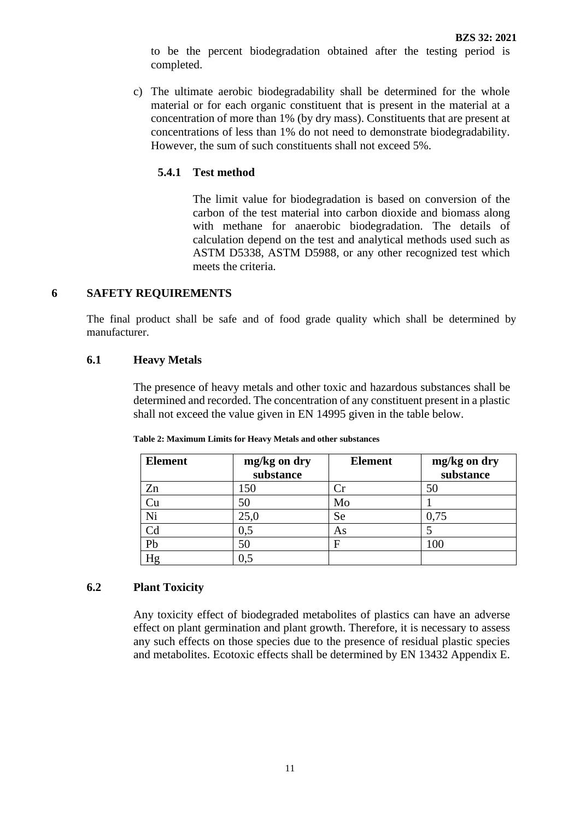to be the percent biodegradation obtained after the testing period is completed.

c) The ultimate aerobic biodegradability shall be determined for the whole material or for each organic constituent that is present in the material at a concentration of more than 1% (by dry mass). Constituents that are present at concentrations of less than 1% do not need to demonstrate biodegradability. However, the sum of such constituents shall not exceed 5%.

#### **5.4.1 Test method**

The limit value for biodegradation is based on conversion of the carbon of the test material into carbon dioxide and biomass along with methane for anaerobic biodegradation. The details of calculation depend on the test and analytical methods used such as ASTM D5338, ASTM D5988, or any other recognized test which meets the criteria.

#### <span id="page-10-0"></span>**6 SAFETY REQUIREMENTS**

The final product shall be safe and of food grade quality which shall be determined by manufacturer.

#### <span id="page-10-1"></span>**6.1 Heavy Metals**

The presence of heavy metals and other toxic and hazardous substances shall be determined and recorded. The concentration of any constituent present in a plastic shall not exceed the value given in EN 14995 given in the table below.

| <b>Element</b>      | mg/kg on dry | <b>Element</b> | mg/kg on dry |
|---------------------|--------------|----------------|--------------|
|                     | substance    |                | substance    |
| Zn                  | 150          | Cr             | 50           |
| Cu                  | 50           | Mo             |              |
| Ni                  | 25,0         | Se             | 0,75         |
| $\operatorname{Cd}$ | 0,5          | As             |              |
| Pb                  | 50           | F              | 100          |
|                     | 0,5          |                |              |

**Table 2: Maximum Limits for Heavy Metals and other substances**

#### <span id="page-10-2"></span>**6.2 Plant Toxicity**

Any toxicity effect of biodegraded metabolites of plastics can have an adverse effect on plant germination and plant growth. Therefore, it is necessary to assess any such effects on those species due to the presence of residual plastic species and metabolites. Ecotoxic effects shall be determined by EN 13432 Appendix E.